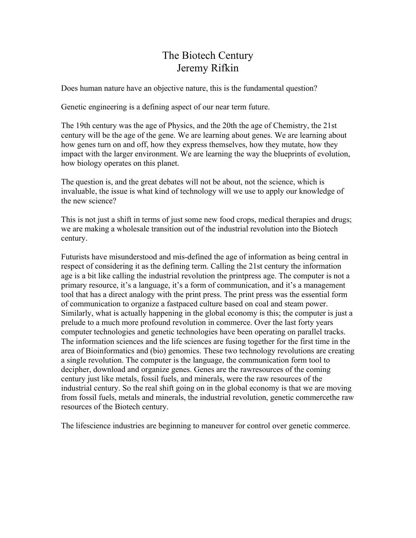## The Biotech Century Jeremy Rifkin

Does human nature have an objective nature, this is the fundamental question?

Genetic engineering is a defining aspect of our near term future.

The 19th century was the age of Physics, and the 20th the age of Chemistry, the 21st century will be the age of the gene. We are learning about genes. We are learning about how genes turn on and off, how they express themselves, how they mutate, how they impact with the larger environment. We are learning the way the blueprints of evolution, how biology operates on this planet.

The question is, and the great debates will not be about, not the science, which is invaluable, the issue is what kind of technology will we use to apply our knowledge of the new science?

This is not just a shift in terms of just some new food crops, medical therapies and drugs; we are making a wholesale transition out of the industrial revolution into the Biotech century.

Futurists have misunderstood and mis-defined the age of information as being central in respect of considering it as the defining term. Calling the 21st century the information age is a bit like calling the industrial revolution the printpress age. The computer is not a primary resource, it's a language, it's a form of communication, and it's a management tool that has a direct analogy with the print press. The print press was the essential form of communication to organize a fastpaced culture based on coal and steam power. Similarly, what is actually happening in the global economy is this; the computer is just a prelude to a much more profound revolution in commerce. Over the last forty years computer technologies and genetic technologies have been operating on parallel tracks. The information sciences and the life sciences are fusing together for the first time in the area of Bioinformatics and (bio) genomics. These two technology revolutions are creating a single revolution. The computer is the language, the communication form tool to decipher, download and organize genes. Genes are the rawresources of the coming century just like metals, fossil fuels, and minerals, were the raw resources of the industrial century. So the real shift going on in the global economy is that we are moving from fossil fuels, metals and minerals, the industrial revolution, genetic commercethe raw resources of the Biotech century.

The lifescience industries are beginning to maneuver for control over genetic commerce.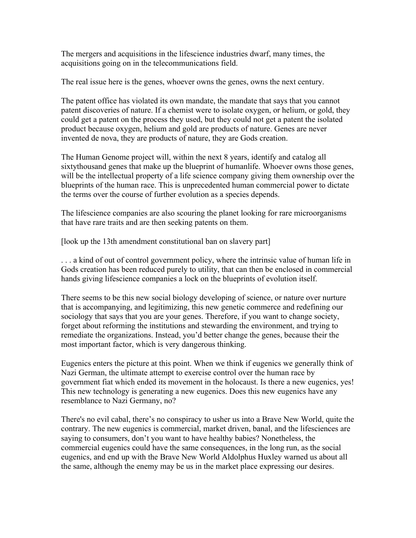The mergers and acquisitions in the lifescience industries dwarf, many times, the acquisitions going on in the telecommunications field.

The real issue here is the genes, whoever owns the genes, owns the next century.

The patent office has violated its own mandate, the mandate that says that you cannot patent discoveries of nature. If a chemist were to isolate oxygen, or helium, or gold, they could get a patent on the process they used, but they could not get a patent the isolated product because oxygen, helium and gold are products of nature. Genes are never invented de nova, they are products of nature, they are Gods creation.

The Human Genome project will, within the next 8 years, identify and catalog all sixtythousand genes that make up the blueprint of humanlife. Whoever owns those genes, will be the intellectual property of a life science company giving them ownership over the blueprints of the human race. This is unprecedented human commercial power to dictate the terms over the course of further evolution as a species depends.

The lifescience companies are also scouring the planet looking for rare microorganisms that have rare traits and are then seeking patents on them.

[look up the 13th amendment constitutional ban on slavery part]

. . . a kind of out of control government policy, where the intrinsic value of human life in Gods creation has been reduced purely to utility, that can then be enclosed in commercial hands giving lifescience companies a lock on the blueprints of evolution itself.

There seems to be this new social biology developing of science, or nature over nurture that is accompanying, and legitimizing, this new genetic commerce and redefining our sociology that says that you are your genes. Therefore, if you want to change society, forget about reforming the institutions and stewarding the environment, and trying to remediate the organizations. Instead, you'd better change the genes, because their the most important factor, which is very dangerous thinking.

Eugenics enters the picture at this point. When we think if eugenics we generally think of Nazi German, the ultimate attempt to exercise control over the human race by government fiat which ended its movement in the holocaust. Is there a new eugenics, yes! This new technology is generating a new eugenics. Does this new eugenics have any resemblance to Nazi Germany, no?

There's no evil cabal, there's no conspiracy to usher us into a Brave New World, quite the contrary. The new eugenics is commercial, market driven, banal, and the lifesciences are saying to consumers, don't you want to have healthy babies? Nonetheless, the commercial eugenics could have the same consequences, in the long run, as the social eugenics, and end up with the Brave New World Aldolphus Huxley warned us about all the same, although the enemy may be us in the market place expressing our desires.